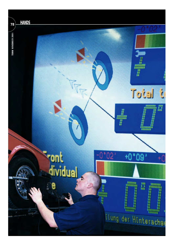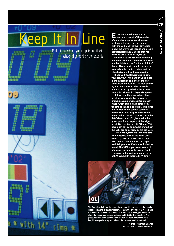**79**

## **In Line**

Make it go where you're pointing it with wheel alignment by the experts.







**E** ver since *Total BMW* started, we've lost count of the numb **we've lost count of the number of enquiries about wheel alignment problems. It seems to crop up more with the E34 5-Series than any other model but we've had moans and groans about lowered E36 3-Series that feel weird to drive and wear tyres out.**

**On cars like the E34 with a steering box there are quite a number of bushes and balljoints on the front end. A lot of the problems don't come from this, but from when the car is repaired and the wheel alignment isn't set up again.**

**If you've fitted lowering springs to your car, you'll need a four-wheel alignment inspection and one of the best** services around is the KDS check offered **by your BMW dealer. The system is manufactured by Beissbarth and KDS stands for Kinematic Diagnosis System.** 

**Rather than the usual wheel alignment gauges seen in tyre shops, the system uses cameras mounted on each** wheel which talk to each other from **f ront to back and side to side. This gives information to the central computer which holds data for just about every BMW back to the E21 3-Series. Once the data's been input it'll give a red fail or** green pass for all aspects of the align**ment. On cars like the old E28 and E30, how much can be adjusted is limited, but the E36s are an odyssey, as are the E34s.** 

**To test the system, we used two cars** from opposite ends of the BMW spec**trum — a 1987 E28 518i and a 1998 328i Coupé. Over the next 10 stages we'll tell you how it's done and what we found. The 518i in particular was a bit** of a problem child with strange front tyre wear and a tendency to pull to the **left. What did Bridgegate BMW find?**



**The first stage is to put the car on the ramp with its wheels on the circular discs and then to fit the four cameras. These will only fit BMW wheels with the five location holes. So if you have weird alloy wheels, you'll need to give prior notice so a set can be found and fitted for the operation. Tyre pressures need to be correct and if the car has been lowered or has a bodykit the special adapters to lower the cameras need to be fitted.**

*Words: Andrew Everett* **P H O T O G R A P H Y: D A V I D W IG MO R E**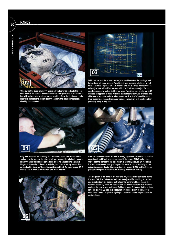**80 HANDS** 



**"Who owns this thing anyway?" asks Andy in horror as he loads the com**puter up with the correct model information. This gives the exact informa**tion with a given plus or minus for each setting. Now the boot needs to be filled with sandbags to weigh it down and give the ride height predetermined by the computer.**



**With that set and the wheel centred, the machine takes the readings and brings them all up on screen. The old 518i gets almost a whole set of red fails — what a surprise. On cars like this and the 6-Series, the rear end is only adjustable with offset bushes, which isn't a five-minute job. On our car, the rear end was fine but the toe angle (tracking) was a mile out at 25 degrees as opposed to nine. Although the camber was OK as a whole, one side was at an angle and the other almost vertical. BMW's double-pivot front suspension means that major tracking irregularity will result in other geometry being wrong too.**



**Andy then adjusted the tracking back to factory-spec. This reversed the camber exactly, so now the other strut was angled. It's all about compromise with a car this old and some finite tracking adjustments equalled things up. Obviously, if there's a balljoint, bush or a strut top mount that's not too healthy then you'll need to sort that out first. An experienced BMW technician will know what matters and what doesn't.**





**Now for the modern stuff. An E36 is a very adjustable car in the suspension department and it's all spanner work with the proper BMW tools. Here we've got the front strut top bolt which is normally sleeved. By replacing it with a non-sleeved bolt, you've got a lot more to play with and you can adjust the camber loads. Obviously, there's a proper BMW bolt for this, not just something you'd buy from the masonry department at B&Q.**

**There's plenty to be done at the rear end too, unlike older cars such as the E30 and E34. The E36 rear wheels can be adjusted for tracking or camber and to set it there's a special bolt where the lower wishbone meets the rear hub assembly. With the special tool, the BMW mechanic can alter the angle of the rear wheel and turn a fail into a pass. With cars that have been lowered by even 25 mm, this measurement will be totally wrong. BMW must have known people were going to slam the E36 and helped out at the design stage.**